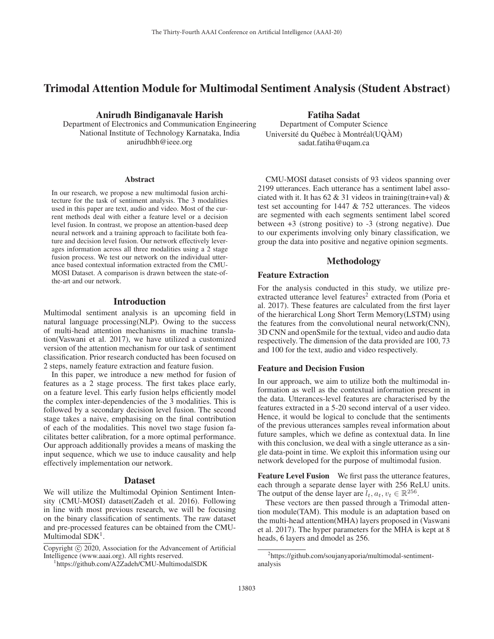# Trimodal Attention Module for Multimodal Sentiment Analysis (Student Abstract)

### Anirudh Bindiganavale Harish

Department of Electronics and Communication Engineering National Institute of Technology Karnataka, India anirudhbh@ieee.org

#### **Abstract**

In our research, we propose a new multimodal fusion architecture for the task of sentiment analysis. The 3 modalities used in this paper are text, audio and video. Most of the current methods deal with either a feature level or a decision level fusion. In contrast, we propose an attention-based deep neural network and a training approach to facilitate both feature and decision level fusion. Our network effectively leverages information across all three modalities using a 2 stage fusion process. We test our network on the individual utterance based contextual information extracted from the CMU-MOSI Dataset. A comparison is drawn between the state-ofthe-art and our network.

# Introduction

Multimodal sentiment analysis is an upcoming field in natural language processing(NLP). Owing to the success of multi-head attention mechanisms in machine translation(Vaswani et al. 2017), we have utilized a customized version of the attention mechanism for our task of sentiment classification. Prior research conducted has been focused on 2 steps, namely feature extraction and feature fusion.

In this paper, we introduce a new method for fusion of features as a 2 stage process. The first takes place early, on a feature level. This early fusion helps efficiently model the complex inter-dependencies of the 3 modalities. This is followed by a secondary decision level fusion. The second stage takes a naive, emphasising on the final contribution of each of the modalities. This novel two stage fusion facilitates better calibration, for a more optimal performance. Our approach additionally provides a means of masking the input sequence, which we use to induce causality and help effectively implementation our network.

#### Dataset

We will utilize the Multimodal Opinion Sentiment Intensity (CMU-MOSI) dataset(Zadeh et al. 2016). Following in line with most previous research, we will be focusing on the binary classification of sentiments. The raw dataset and pre-processed features can be obtained from the CMU-Multimodal SDK<sup>1</sup>.

Copyright  $\odot$  2020, Association for the Advancement of Artificial Intelligence (www.aaai.org). All rights reserved.

# Fatiha Sadat

Department of Computer Science Université du Québec à Montréal(UQAM) sadat.fatiha@uqam.ca

CMU-MOSI dataset consists of 93 videos spanning over 2199 utterances. Each utterance has a sentiment label associated with it. It has  $62 \& 31$  videos in training(train+val)  $\&$ test set accounting for 1447 & 752 utterances. The videos are segmented with each segments sentiment label scored between +3 (strong positive) to -3 (strong negative). Due to our experiments involving only binary classification, we group the data into positive and negative opinion segments.

# Methodology

### Feature Extraction

For the analysis conducted in this study, we utilize preextracted utterance level features<sup>2</sup> extracted from (Poria et al. 2017). These features are calculated from the first layer of the hierarchical Long Short Term Memory(LSTM) using the features from the convolutional neural network(CNN), 3D CNN and openSmile for the textual, video and audio data respectively. The dimension of the data provided are 100, 73 and 100 for the text, audio and video respectively.

### Feature and Decision Fusion

In our approach, we aim to utilize both the multimodal information as well as the contextual information present in the data. Utterances-level features are characterised by the features extracted in a 5-20 second interval of a user video. Hence, it would be logical to conclude that the sentiments of the previous utterances samples reveal information about future samples, which we define as contextual data. In line with this conclusion, we deal with a single utterance as a single data-point in time. We exploit this information using our network developed for the purpose of multimodal fusion.

Feature Level Fusion We first pass the utterance features, each through a separate dense layer with 256 ReLU units. The output of the dense layer are  $l_t, a_t, v_t \in \mathbb{R}^{256}$ .

These vectors are then passed through a Trimodal attention module(TAM). This module is an adaptation based on the multi-head attention(MHA) layers proposed in (Vaswani et al. 2017). The hyper parameters for the MHA is kept at 8 heads, 6 layers and dmodel as 256.

https://github.com/A2Zadeh/CMU-MultimodalSDK

<sup>&</sup>lt;sup>2</sup>https://github.com/soujanyaporia/multimodal-sentimentanalysis